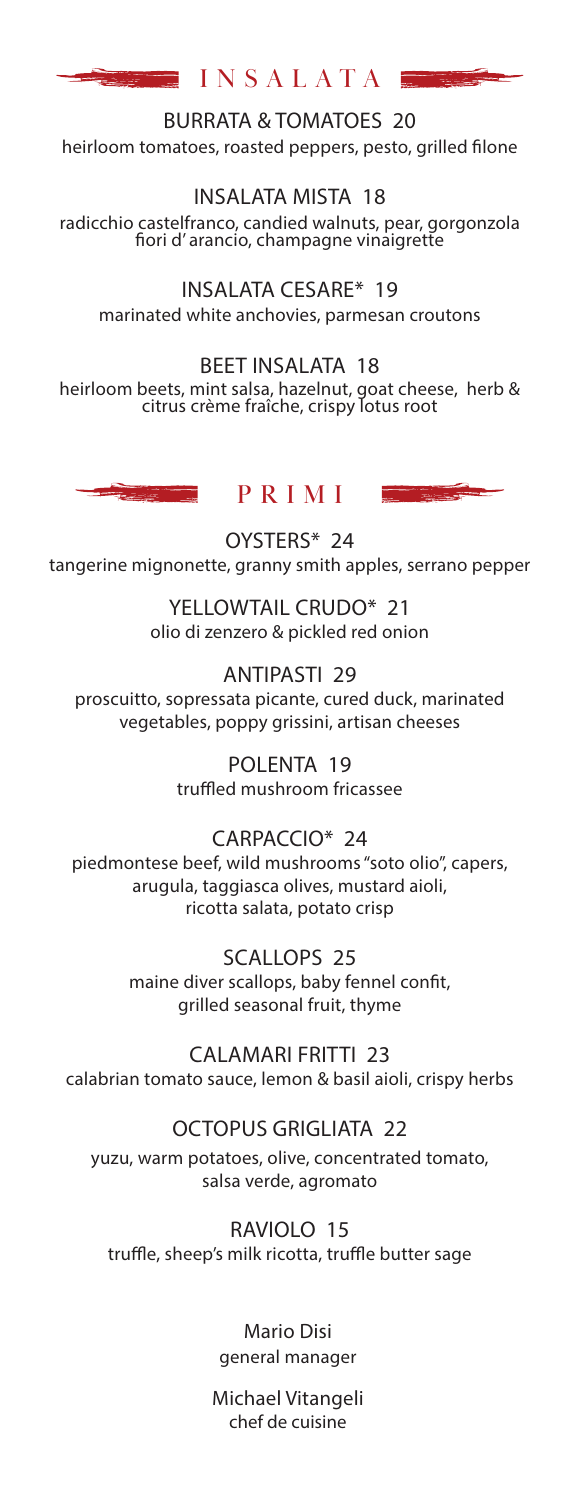

BURRATA & TOMATOES 20 heirloom tomatoes, roasted peppers, pesto, grilled filone

INSALATA MISTA 18 radicchio castelfranco, candied walnuts, pear, gorgonzola fiori d' arancio, champagne vinaigrette

INSALATA CESARE\* 19 marinated white anchovies, parmesan croutons

BEET INSALATA 18 heirloom beets, mint salsa, hazelnut, goat cheese, herb & citrus crème fraîche, crispy lotus root





OYSTERS\* 24 tangerine mignonette, granny smith apples, serrano pepper

> YELLOWTAIL CRUDO\* 21 olio di zenzero & pickled red onion

ANTIPASTI 29 proscuitto, sopressata picante, cured duck, marinated vegetables, poppy grissini, artisan cheeses

> POLENTA 19 truffled mushroom fricassee

## CARPACCIO\* 24

piedmontese beef, wild mushrooms "soto olio", capers, arugula, taggiasca olives, mustard aioli, ricotta salata, potato crisp

> SCALLOPS 25 maine diver scallops, baby fennel confit, grilled seasonal fruit, thyme

CALAMARI FRITTI 23 calabrian tomato sauce, lemon & basil aioli, crispy herbs

## OCTOPUS GRIGLIATA 22

yuzu, warm potatoes, olive, concentrated tomato, salsa verde, agromato

RAVIOLO 15 truffle, sheep's milk ricotta, truffle butter sage

> Mario Disi general manager

Michael Vitangeli chef de cuisine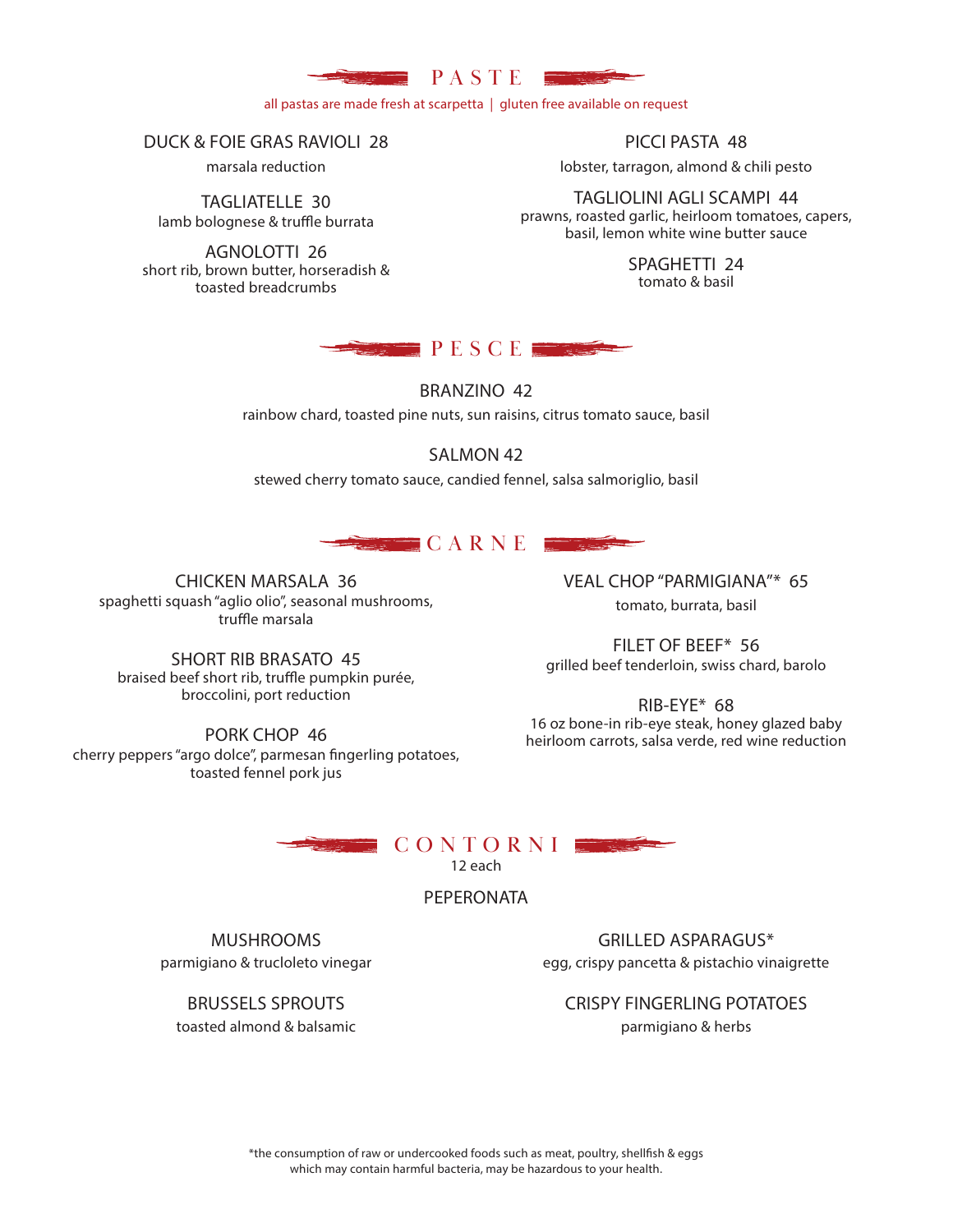

all pastas are made fresh at scarpetta | gluten free available on request

DUCK & FOIE GRAS RAVIOLI 28

marsala reduction

TAGLIATELLE 30 lamb bolognese & truffle burrata

AGNOLOTTI 26 short rib, brown butter, horseradish & toasted breadcrumbs

PICCI PASTA 48

lobster, tarragon, almond & chili pesto

TAGLIOLINI AGLI SCAMPI 44 prawns, roasted garlic, heirloom tomatoes, capers, basil, lemon white wine butter sauce

> SPAGHETTI 24 tomato & basil



BRANZINO 42

rainbow chard, toasted pine nuts, sun raisins, citrus tomato sauce, basil

## SALMON 42

stewed cherry tomato sauce, candied fennel, salsa salmoriglio, basil



CHICKEN MARSALA 36 spaghetti squash "aglio olio", seasonal mushrooms, truffle marsala

SHORT RIB BRASATO 45 braised beef short rib, truffle pumpkin purée, broccolini, port reduction

PORK CHOP 46 cherry peppers "argo dolce", parmesan fingerling potatoes, toasted fennel pork jus

VEAL CHOP "PARMIGIANA"\* 65 tomato, burrata, basil

FILET OF BEEF\* 56 grilled beef tenderloin, swiss chard, barolo

RIB-EYE\* 68 16 oz bone-in rib-eye steak, honey glazed baby heirloom carrots, salsa verde, red wine reduction

CONTORNI

12 each

PEPERONATA

MUSHROOMS parmigiano & trucloleto vinegar

GRILLED ASPARAGUS\* egg, crispy pancetta & pistachio vinaigrette

CRISPY FINGERLING POTATOES parmigiano & herbs

BRUSSELS SPROUTS

toasted almond & balsamic

\*the consumption of raw or undercooked foods such as meat, poultry, shellfish & eggs which may contain harmful bacteria, may be hazardous to your health.